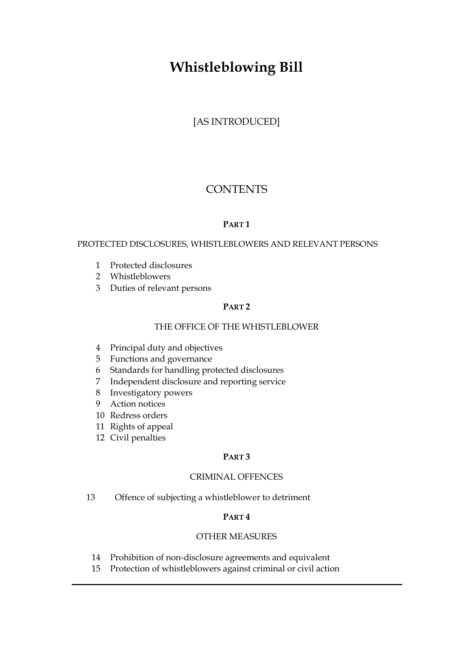# **Whistleblowing Bill**

[AS INTRODUCED]

# **CONTENTS**

## **PART 1**

### PROTECTED DISCLOSURES, WHISTLEBLOWERS AND RELEVANT PERSONS

- 1 Protected disclosures
- 2 Whistleblowers
- 3 Duties of relevant persons

# **PART 2**

## THE OFFICE OF THE WHISTLEBLOWER

- 4 Principal duty and objectives
- 5 Functions and governance
- 6 Standards for handling protected disclosures
- 7 Independent disclosure and reporting service
- 8 Investigatory powers
- 9 Action notices
- 10 Redress orders
- 11 Rights of appeal
- 12 Civil penalties

### **PART 3**

### CRIMINAL OFFENCES

13 Offence of subjecting a whistleblower to detriment

# **PART 4**

## OTHER MEASURES

- 14 Prohibition of non-disclosure agreements and equivalent
- 15 Protection of whistleblowers against criminal or civil action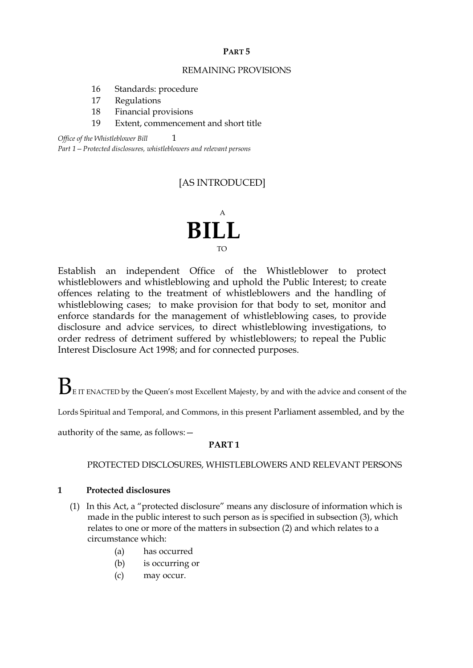#### **PART 5**

#### REMAINING PROVISIONS

- 16 Standards: procedure
- 17 Regulations
- 18 Financial provisions
- 19 Extent, commencement and short title

*Office of the Whistleblower Bill*  $1$ 

*Part 1—Protected disclosures, whistleblowers and relevant persons*

# [AS INTRODUCED]

# A **BILL** TO

Establish an independent Office of the Whistleblower to protect whistleblowers and whistleblowing and uphold the Public Interest; to create offences relating to the treatment of whistleblowers and the handling of whistleblowing cases; to make provision for that body to set, monitor and enforce standards for the management of whistleblowing cases, to provide disclosure and advice services, to direct whistleblowing investigations, to order redress of detriment suffered by whistleblowers; to repeal the Public Interest Disclosure Act 1998; and for connected purposes.

 $\mathbf{B}_{\text{\tiny{EIT ENACTED}}}$  by the Queen's most Excellent Majesty, by and with the advice and consent of the

Lords Spiritual and Temporal, and Commons, in this present Parliament assembled, and by the

authority of the same, as follows:—

### **PART 1**

PROTECTED DISCLOSURES, WHISTLEBLOWERS AND RELEVANT PERSONS

### **1 Protected disclosures**

- (1) In this Act, a "protected disclosure" means any disclosure of information which is made in the public interest to such person as is specified in subsection (3), which relates to one or more of the matters in subsection (2) and which relates to a circumstance which:
	- (a) has occurred
	- (b) is occurring or
	- (c) may occur.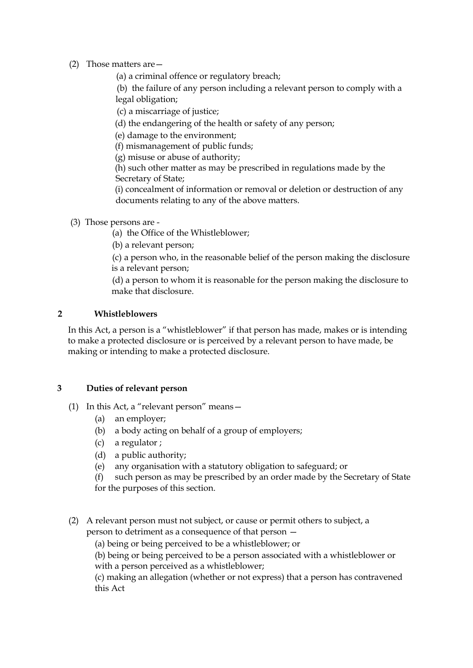## (2) Those matters are—

(a) a criminal offence or regulatory breach;

(b) the failure of any person including a relevant person to comply with a legal obligation;

(c) a miscarriage of justice;

(d) the endangering of the health or safety of any person;

(e) damage to the environment;

(f) mismanagement of public funds;

(g) misuse or abuse of authority;

(h) such other matter as may be prescribed in regulations made by the Secretary of State;

(i) concealment of information or removal or deletion or destruction of any documents relating to any of the above matters.

(3) Those persons are -

(a) the Office of the Whistleblower;

(b) a relevant person;

(c) a person who, in the reasonable belief of the person making the disclosure is a relevant person;

(d) a person to whom it is reasonable for the person making the disclosure to make that disclosure.

## **2 Whistleblowers**

In this Act, a person is a "whistleblower" if that person has made, makes or is intending to make a protected disclosure or is perceived by a relevant person to have made, be making or intending to make a protected disclosure.

# **3 Duties of relevant person**

- (1) In this Act, a "relevant person" means—
	- (a) an employer;
	- (b) a body acting on behalf of a group of employers;
	- (c) a regulator ;
	- (d) a public authority;
	- (e) any organisation with a statutory obligation to safeguard; or

(f) such person as may be prescribed by an order made by the Secretary of State for the purposes of this section.

(2) A relevant person must not subject, or cause or permit others to subject, a person to detriment as a consequence of that person —

(a) being or being perceived to be a whistleblower; or

(b) being or being perceived to be a person associated with a whistleblower or with a person perceived as a whistleblower;

(c) making an allegation (whether or not express) that a person has contravened this Act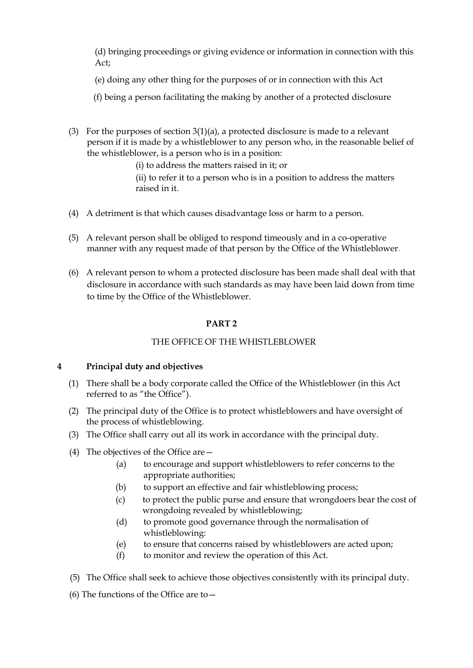(d) bringing proceedings or giving evidence or information in connection with this Act;

- (e) doing any other thing for the purposes of or in connection with this Act
- (f) being a person facilitating the making by another of a protected disclosure
- (3) For the purposes of section  $3(1)(a)$ , a protected disclosure is made to a relevant person if it is made by a whistleblower to any person who, in the reasonable belief of the whistleblower, is a person who is in a position:

(i) to address the matters raised in it; or

(ii) to refer it to a person who is in a position to address the matters raised in it.

- (4) A detriment is that which causes disadvantage loss or harm to a person.
- (5) A relevant person shall be obliged to respond timeously and in a co-operative manner with any request made of that person by the Office of the Whistleblower.
- (6) A relevant person to whom a protected disclosure has been made shall deal with that disclosure in accordance with such standards as may have been laid down from time to time by the Office of the Whistleblower.

## **PART 2**

# THE OFFICE OF THE WHISTLEBLOWER

### **4 Principal duty and objectives**

- (1) There shall be a body corporate called the Office of the Whistleblower (in this Act referred to as "the Office").
- (2) The principal duty of the Office is to protect whistleblowers and have oversight of the process of whistleblowing.
- (3) The Office shall carry out all its work in accordance with the principal duty.
- (4) The objectives of the Office are—
	- (a) to encourage and support whistleblowers to refer concerns to the appropriate authorities;
	- (b) to support an effective and fair whistleblowing process;
	- (c) to protect the public purse and ensure that wrongdoers bear the cost of wrongdoing revealed by whistleblowing;
	- (d) to promote good governance through the normalisation of whistleblowing:
	- (e) to ensure that concerns raised by whistleblowers are acted upon;
	- (f) to monitor and review the operation of this Act.
- (5) The Office shall seek to achieve those objectives consistently with its principal duty.
- (6) The functions of the Office are to—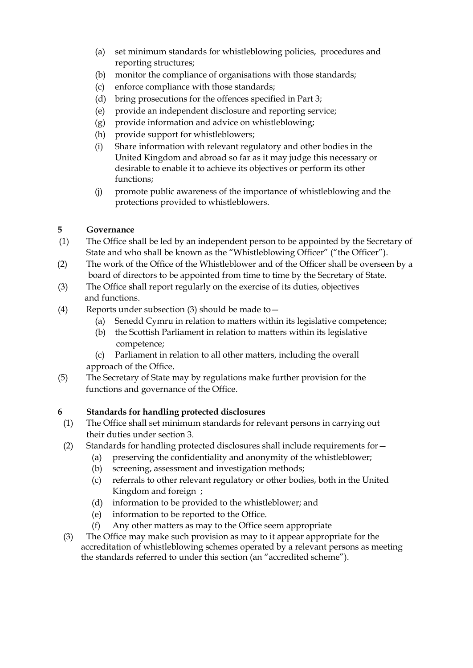- (a) set minimum standards for whistleblowing policies, procedures and reporting structures;
- (b) monitor the compliance of organisations with those standards;
- (c) enforce compliance with those standards;
- (d) bring prosecutions for the offences specified in Part 3;
- (e) provide an independent disclosure and reporting service;
- (g) provide information and advice on whistleblowing;
- (h) provide support for whistleblowers;
- (i) Share information with relevant regulatory and other bodies in the United Kingdom and abroad so far as it may judge this necessary or desirable to enable it to achieve its objectives or perform its other functions;
- (j) promote public awareness of the importance of whistleblowing and the protections provided to whistleblowers.

# **5 Governance**

- (1) The Office shall be led by an independent person to be appointed by the Secretary of State and who shall be known as the "Whistleblowing Officer" ("the Officer").
- (2) The work of the Office of the Whistleblower and of the Officer shall be overseen by a board of directors to be appointed from time to time by the Secretary of State.
- (3) The Office shall report regularly on the exercise of its duties, objectives and functions.
- (4) Reports under subsection (3) should be made to  $-$ 
	- (a) Senedd Cymru in relation to matters within its legislative competence;
	- (b) the Scottish Parliament in relation to matters within its legislative competence;
	- (c) Parliament in relation to all other matters, including the overall approach of the Office.
- (5) The Secretary of State may by regulations make further provision for the functions and governance of the Office.

# **6 Standards for handling protected disclosures**

- (1) The Office shall set minimum standards for relevant persons in carrying out their duties under section 3.
- (2) Standards for handling protected disclosures shall include requirements for—
	- (a) preserving the confidentiality and anonymity of the whistleblower;
	- (b) screening, assessment and investigation methods;
	- (c) referrals to other relevant regulatory or other bodies, both in the United Kingdom and foreign ;
	- (d) information to be provided to the whistleblower; and
	- (e) information to be reported to the Office.
	- (f) Any other matters as may to the Office seem appropriate
- (3) The Office may make such provision as may to it appear appropriate for the accreditation of whistleblowing schemes operated by a relevant persons as meeting the standards referred to under this section (an "accredited scheme").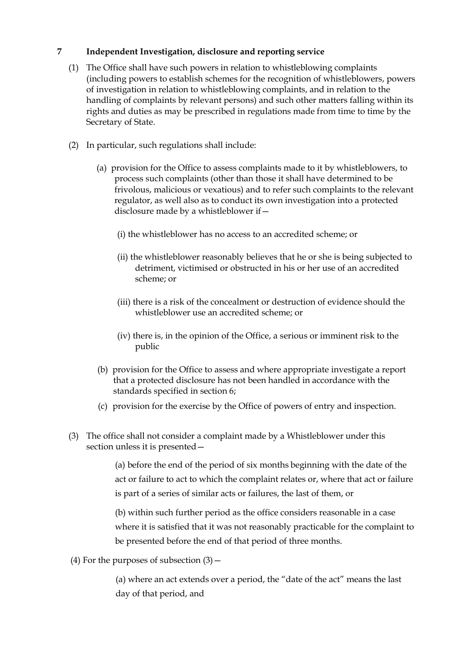## **7 Independent Investigation, disclosure and reporting service**

- (1) The Office shall have such powers in relation to whistleblowing complaints (including powers to establish schemes for the recognition of whistleblowers, powers of investigation in relation to whistleblowing complaints, and in relation to the handling of complaints by relevant persons) and such other matters falling within its rights and duties as may be prescribed in regulations made from time to time by the Secretary of State.
- (2) In particular, such regulations shall include:
	- (a) provision for the Office to assess complaints made to it by whistleblowers, to process such complaints (other than those it shall have determined to be frivolous, malicious or vexatious) and to refer such complaints to the relevant regulator, as well also as to conduct its own investigation into a protected disclosure made by a whistleblower if—
		- (i) the whistleblower has no access to an accredited scheme; or
		- (ii) the whistleblower reasonably believes that he or she is being subjected to detriment, victimised or obstructed in his or her use of an accredited scheme; or
		- (iii) there is a risk of the concealment or destruction of evidence should the whistleblower use an accredited scheme; or
		- (iv) there is, in the opinion of the Office, a serious or imminent risk to the public
	- (b) provision for the Office to assess and where appropriate investigate a report that a protected disclosure has not been handled in accordance with the standards specified in section 6;
	- (c) provision for the exercise by the Office of powers of entry and inspection.
- (3) The office shall not consider a complaint made by a Whistleblower under this section unless it is presented—

(a) before the end of the period of six months beginning with the date of the act or failure to act to which the complaint relates or, where that act or failure is part of a series of similar acts or failures, the last of them, or

(b) within such further period as the office considers reasonable in a case where it is satisfied that it was not reasonably practicable for the complaint to be presented before the end of that period of three months.

(4) For the purposes of subsection  $(3)$  –

(a) where an act extends over a period, the "date of the act" means the last day of that period, and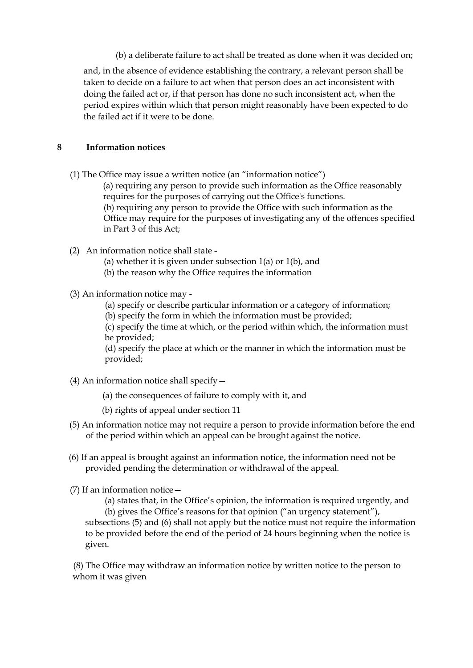(b) a deliberate failure to act shall be treated as done when it was decided on;

and, in the absence of evidence establishing the contrary, a relevant person shall be taken to decide on a failure to act when that person does an act inconsistent with doing the failed act or, if that person has done no such inconsistent act, when the period expires within which that person might reasonably have been expected to do the failed act if it were to be done.

## **8 Information notices**

(1) The Office may issue a written notice (an "information notice")

(a) requiring any person to provide such information as the Office reasonably requires for the purposes of carrying out the Office's functions. (b) requiring any person to provide the Office with such information as the Office may require for the purposes of investigating any of the offences specified in Part 3 of this Act;

- (2) An information notice shall state
	- (a) whether it is given under subsection  $1(a)$  or  $1(b)$ , and
	- (b) the reason why the Office requires the information
- (3) An information notice may
	- (a) specify or describe particular information or a category of information;
	- (b) specify the form in which the information must be provided;

(c) specify the time at which, or the period within which, the information must be provided;

(d) specify the place at which or the manner in which the information must be provided;

- (4) An information notice shall specify—
	- (a) the consequences of failure to comply with it, and
	- (b) rights of appeal under section 11
- (5) An information notice may not require a person to provide information before the end of the period within which an appeal can be brought against the notice.
- (6) If an appeal is brought against an information notice, the information need not be provided pending the determination or withdrawal of the appeal.
- (7) If an information notice—

(a) states that, in the Office's opinion, the information is required urgently, and (b) gives the Office's reasons for that opinion ("an urgency statement"), subsections (5) and (6) shall not apply but the notice must not require the information to be provided before the end of the period of 24 hours beginning when the notice is

given.

(8) The Office may withdraw an information notice by written notice to the person to whom it was given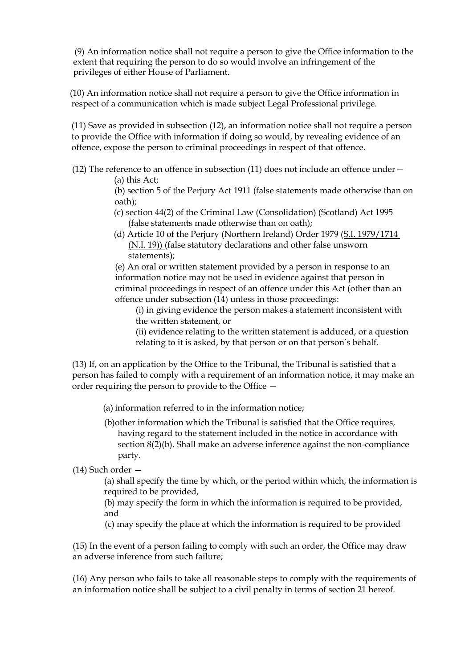(9) An information notice shall not require a person to give the Office information to the extent that requiring the person to do so would involve an infringement of the privileges of either House of Parliament.

(10) An information notice shall not require a person to give the Office information in respect of a communication which is made subject Legal Professional privilege.

(11) Save as provided in subsection (12), an information notice shall not require a person to provide the Office with information if doing so would, by revealing evidence of an offence, expose the person to criminal proceedings in respect of that offence.

(12) The reference to an offence in subsection (11) does not include an offence under—

(a) this Act;

(b) section 5 of the Perjury Act 1911 (false statements made otherwise than on oath);

- (c) section 44(2) of the Criminal Law (Consolidation) (Scotland) Act 1995 (false statements made otherwise than on oath);
- (d) Article 10 of the Perjury (Northern Ireland) Order 1979 (S.I. 1979/1714 (N.I. 19)) (false statutory declarations and other false unsworn statements);

(e) An oral or written statement provided by a person in response to an information notice may not be used in evidence against that person in criminal proceedings in respect of an offence under this Act (other than an offence under subsection (14) unless in those proceedings:

(i) in giving evidence the person makes a statement inconsistent with the written statement, or

(ii) evidence relating to the written statement is adduced, or a question relating to it is asked, by that person or on that person's behalf.

(13) If, on an application by the Office to the Tribunal, the Tribunal is satisfied that a person has failed to comply with a requirement of an information notice, it may make an order requiring the person to provide to the Office —

(a) information referred to in the information notice;

(b)other information which the Tribunal is satisfied that the Office requires, having regard to the statement included in the notice in accordance with section 8(2)(b). Shall make an adverse inference against the non-compliance party.

(14) Such order —

(a) shall specify the time by which, or the period within which, the information is required to be provided,

(b) may specify the form in which the information is required to be provided, and

(c) may specify the place at which the information is required to be provided

(15) In the event of a person failing to comply with such an order, the Office may draw an adverse inference from such failure;

(16) Any person who fails to take all reasonable steps to comply with the requirements of an information notice shall be subject to a civil penalty in terms of section 21 hereof.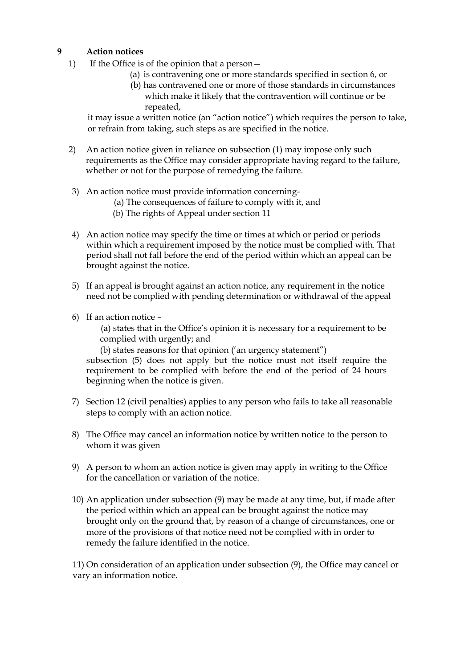# **9 Action notices**

- 1) If the Office is of the opinion that a person—
	- (a) is contravening one or more standards specified in section 6, or
	- (b) has contravened one or more of those standards in circumstances which make it likely that the contravention will continue or be repeated,

it may issue a written notice (an "action notice") which requires the person to take, or refrain from taking, such steps as are specified in the notice.

- 2) An action notice given in reliance on subsection (1) may impose only such requirements as the Office may consider appropriate having regard to the failure, whether or not for the purpose of remedying the failure.
- 3) An action notice must provide information concerning-
	- (a) The consequences of failure to comply with it, and
	- (b) The rights of Appeal under section 11
- 4) An action notice may specify the time or times at which or period or periods within which a requirement imposed by the notice must be complied with. That period shall not fall before the end of the period within which an appeal can be brought against the notice.
- 5) If an appeal is brought against an action notice, any requirement in the notice need not be complied with pending determination or withdrawal of the appeal
- 6) If an action notice –

(a) states that in the Office's opinion it is necessary for a requirement to be complied with urgently; and

(b) states reasons for that opinion ('an urgency statement") subsection (5) does not apply but the notice must not itself require the requirement to be complied with before the end of the period of 24 hours beginning when the notice is given.

- 7) Section 12 (civil penalties) applies to any person who fails to take all reasonable steps to comply with an action notice.
- 8) The Office may cancel an information notice by written notice to the person to whom it was given
- 9) A person to whom an action notice is given may apply in writing to the Office for the cancellation or variation of the notice.
- 10) An application under subsection (9) may be made at any time, but, if made after the period within which an appeal can be brought against the notice may brought only on the ground that, by reason of a change of circumstances, one or more of the provisions of that notice need not be complied with in order to remedy the failure identified in the notice.

11) On consideration of an application under subsection (9), the Office may cancel or vary an information notice.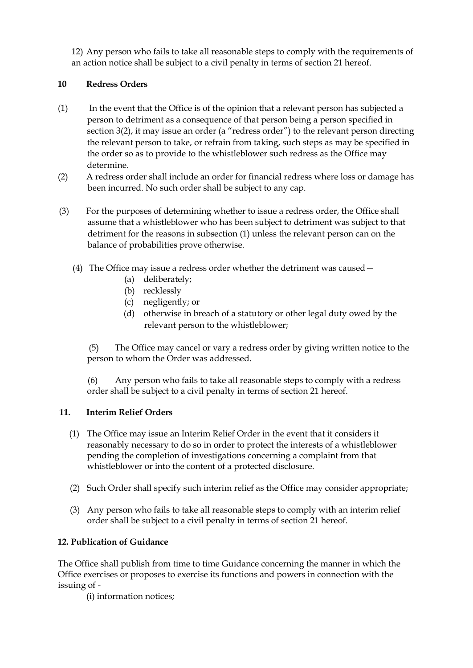12) Any person who fails to take all reasonable steps to comply with the requirements of an action notice shall be subject to a civil penalty in terms of section 21 hereof.

# **10 Redress Orders**

- (1) In the event that the Office is of the opinion that a relevant person has subjected a person to detriment as a consequence of that person being a person specified in section 3(2), it may issue an order (a "redress order") to the relevant person directing the relevant person to take, or refrain from taking, such steps as may be specified in the order so as to provide to the whistleblower such redress as the Office may determine.
- (2) A redress order shall include an order for financial redress where loss or damage has been incurred. No such order shall be subject to any cap.
- (3) For the purposes of determining whether to issue a redress order, the Office shall assume that a whistleblower who has been subject to detriment was subject to that detriment for the reasons in subsection (1) unless the relevant person can on the balance of probabilities prove otherwise.
	- (4) The Office may issue a redress order whether the detriment was caused—
		- (a) deliberately;
		- (b) recklessly
		- (c) negligently; or
		- (d) otherwise in breach of a statutory or other legal duty owed by the relevant person to the whistleblower;

(5) The Office may cancel or vary a redress order by giving written notice to the person to whom the Order was addressed.

(6) Any person who fails to take all reasonable steps to comply with a redress order shall be subject to a civil penalty in terms of section 21 hereof.

# **11. Interim Relief Orders**

- (1) The Office may issue an Interim Relief Order in the event that it considers it reasonably necessary to do so in order to protect the interests of a whistleblower pending the completion of investigations concerning a complaint from that whistleblower or into the content of a protected disclosure.
- (2) Such Order shall specify such interim relief as the Office may consider appropriate;
- (3) Any person who fails to take all reasonable steps to comply with an interim relief order shall be subject to a civil penalty in terms of section 21 hereof.

# **12. Publication of Guidance**

The Office shall publish from time to time Guidance concerning the manner in which the Office exercises or proposes to exercise its functions and powers in connection with the issuing of -

(i) information notices;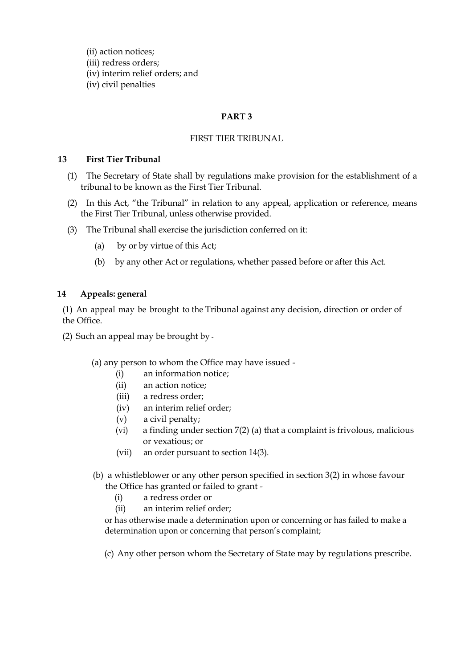(ii) action notices; (iii) redress orders; (iv) interim relief orders; and (iv) civil penalties

## **PART 3**

### FIRST TIER TRIBUNAL

#### **13 First Tier Tribunal**

- (1) The Secretary of State shall by regulations make provision for the establishment of a tribunal to be known as the First Tier Tribunal.
- (2) In this Act, "the Tribunal" in relation to any appeal, application or reference, means the First Tier Tribunal, unless otherwise provided.
- (3) The Tribunal shall exercise the jurisdiction conferred on it:
	- (a) by or by virtue of this Act;
	- (b) by any other Act or regulations, whether passed before or after this Act.

### **14 Appeals: general**

(1) An appeal may be brought to the Tribunal against any decision, direction or order of the Office.

(2) Such an appeal may be brought by -

### (a) any person to whom the Office may have issued -

- (i) an information notice;
- (ii) an action notice;
- (iii) a redress order;
- (iv) an interim relief order;
- (v) a civil penalty;
- (vi) a finding under section 7(2) (a) that a complaint is frivolous, malicious or vexatious; or
- (vii) an order pursuant to section 14(3).
- (b) a whistleblower or any other person specified in section 3(2) in whose favour the Office has granted or failed to grant -
	- (i) a redress order or
	- (ii) an interim relief order;

or has otherwise made a determination upon or concerning or has failed to make a determination upon or concerning that person's complaint;

(c) Any other person whom the Secretary of State may by regulations prescribe.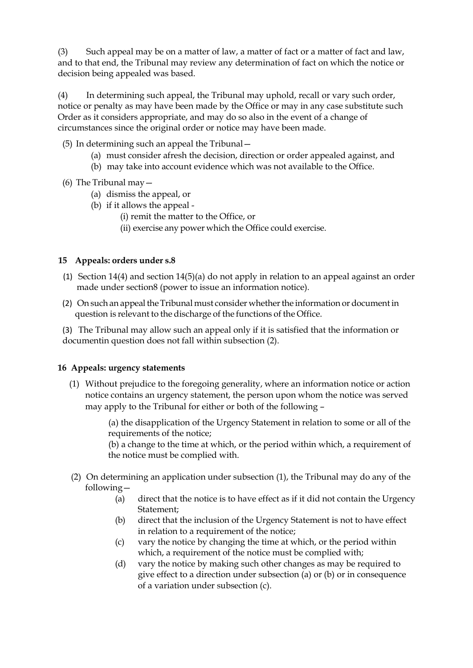(3) Such appeal may be on a matter of law, a matter of fact or a matter of fact and law, and to that end, the Tribunal may review any determination of fact on which the notice or decision being appealed was based.

(4) In determining such appeal, the Tribunal may uphold, recall or vary such order, notice or penalty as may have been made by the Office or may in any case substitute such Order as it considers appropriate, and may do so also in the event of a change of circumstances since the original order or notice may have been made.

- (5) In determining such an appeal the Tribunal—
	- (a) must consider afresh the decision, direction or order appealed against, and
	- (b) may take into account evidence which was not available to the Office.
- (6) The Tribunal may—
	- (a) dismiss the appeal, or
	- (b) if it allows the appeal
		- (i) remit the matter to the Office, or
		- (ii) exercise any power which the Office could exercise.

### **15 Appeals: orders under s.8**

- (1) Section 14(4) and section 14(5)(a) do not apply in relation to an appeal against an order made under section8 (power to issue an information notice).
- (2) On such an appeal the Tribunal must consider whether the information or document in question is relevant to the discharge of the functions of the Office.

(3) The Tribunal may allow such an appeal only if it is satisfied that the information or documentin question does not fall within subsection (2).

### **16 Appeals: urgency statements**

(1) Without prejudice to the foregoing generality, where an information notice or action notice contains an urgency statement, the person upon whom the notice was served may apply to the Tribunal for either or both of the following –

> (a) the disapplication of the Urgency Statement in relation to some or all of the requirements of the notice;

> (b) a change to the time at which, or the period within which, a requirement of the notice must be complied with.

- (2) On determining an application under subsection (1), the Tribunal may do any of the following—
	- (a) direct that the notice is to have effect as if it did not contain the Urgency Statement;
	- (b) direct that the inclusion of the Urgency Statement is not to have effect in relation to a requirement of the notice;
	- (c) vary the notice by changing the time at which, or the period within which, a requirement of the notice must be complied with;
	- (d) vary the notice by making such other changes as may be required to give effect to a direction under subsection (a) or (b) or in consequence of a variation under subsection (c).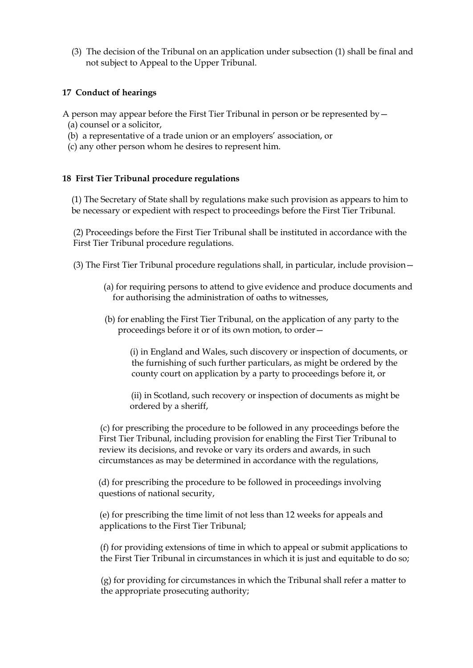(3) The decision of the Tribunal on an application under subsection (1) shall be final and not subject to Appeal to the Upper Tribunal.

#### **17 Conduct of hearings**

A person may appear before the First Tier Tribunal in person or be represented by  $-$ 

- (a) counsel or a solicitor,
- (b) a representative of a trade union or an employers' association, or
- (c) any other person whom he desires to represent him.

### **18 First Tier Tribunal procedure regulations**

(1) The Secretary of State shall by regulations make such provision as appears to him to be necessary or expedient with respect to proceedings before the First Tier Tribunal.

(2) Proceedings before the First Tier Tribunal shall be instituted in accordance with the First Tier Tribunal procedure regulations.

- (3) The First Tier Tribunal procedure regulations shall, in particular, include provision—
	- (a) for requiring persons to attend to give evidence and produce documents and for authorising the administration of oaths to witnesses,
	- (b) for enabling the First Tier Tribunal, on the application of any party to the proceedings before it or of its own motion, to order—

(i) in England and Wales, such discovery or inspection of documents, or the furnishing of such further particulars, as might be ordered by the county court on application by a party to proceedings before it, or

(ii) in Scotland, such recovery or inspection of documents as might be ordered by a sheriff,

(c) for prescribing the procedure to be followed in any proceedings before the First Tier Tribunal, including provision for enabling the First Tier Tribunal to review its decisions, and revoke or vary its orders and awards, in such circumstances as may be determined in accordance with the regulations,

(d) for prescribing the procedure to be followed in proceedings involving questions of national security,

(e) for prescribing the time limit of not less than 12 weeks for appeals and applications to the First Tier Tribunal;

(f) for providing extensions of time in which to appeal or submit applications to the First Tier Tribunal in circumstances in which it is just and equitable to do so;

(g) for providing for circumstances in which the Tribunal shall refer a matter to the appropriate prosecuting authority;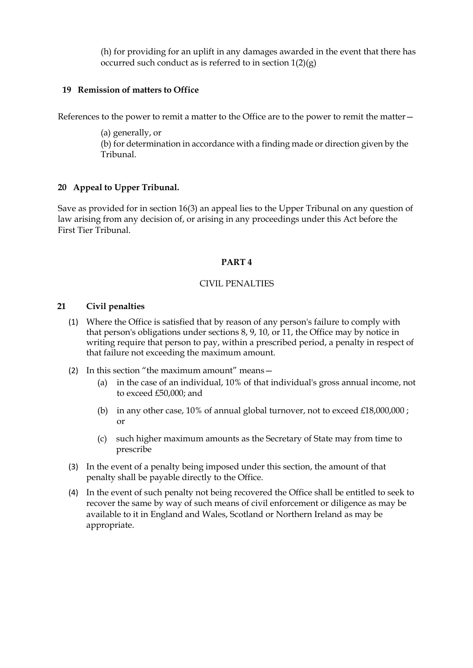(h) for providing for an uplift in any damages awarded in the event that there has occurred such conduct as is referred to in section  $1(2)(g)$ 

#### **19 Remission of matters to Office**

References to the power to remit a matter to the Office are to the power to remit the matter—

(a) generally, or (b) for determination in accordance with a finding made or direction given by the Tribunal.

### **20 Appeal to Upper Tribunal.**

Save as provided for in section 16(3) an appeal lies to the Upper Tribunal on any question of law arising from any decision of, or arising in any proceedings under this Act before the First Tier Tribunal.

#### **PART 4**

#### CIVIL PENALTIES

#### **21 Civil penalties**

- (1) Where the Office is satisfied that by reason of any person's failure to comply with that person's obligations under sections 8, 9, 10, or 11, the Office may by notice in writing require that person to pay, within a prescribed period, a penalty in respect of that failure not exceeding the maximum amount.
- (2) In this section "the maximum amount" means—
	- (a) in the case of an individual, 10% of that individual's gross annual income, not to exceed £50,000; and
	- (b) in any other case,  $10\%$  of annual global turnover, not to exceed £18,000,000; or
	- (c) such higher maximum amounts as the Secretary of State may from time to prescribe
- (3) In the event of a penalty being imposed under this section, the amount of that penalty shall be payable directly to the Office.
- (4) In the event of such penalty not being recovered the Office shall be entitled to seek to recover the same by way of such means of civil enforcement or diligence as may be available to it in England and Wales, Scotland or Northern Ireland as may be appropriate.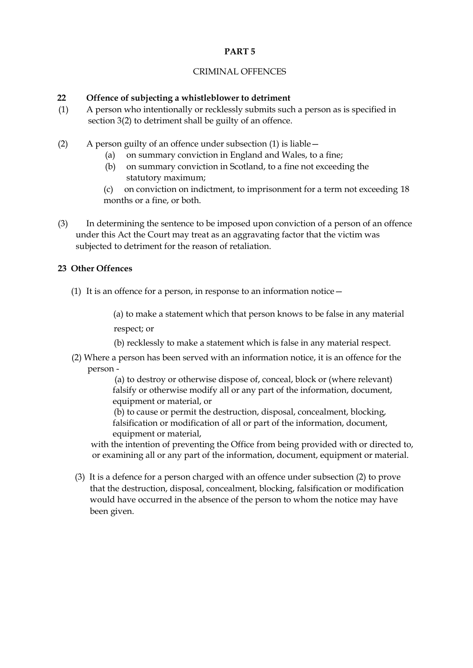## **PART 5**

#### CRIMINAL OFFENCES

#### **22 Offence of subjecting a whistleblower to detriment**

- (1) A person who intentionally or recklessly submits such a person as is specified in section 3(2) to detriment shall be guilty of an offence.
- (2) A person guilty of an offence under subsection (1) is liable—
	- (a) on summary conviction in England and Wales, to a fine;
	- (b) on summary conviction in Scotland, to a fine not exceeding the statutory maximum;
	- (c) on conviction on indictment, to imprisonment for a term not exceeding 18 months or a fine, or both.
- (3) In determining the sentence to be imposed upon conviction of a person of an offence under this Act the Court may treat as an aggravating factor that the victim was subjected to detriment for the reason of retaliation.

### **23 Other Offences**

(1) It is an offence for a person, in response to an information notice  $-$ 

(a) to make a statement which that person knows to be false in any material respect; or

- (b) recklessly to make a statement which is false in any material respect.
- (2) Where a person has been served with an information notice, it is an offence for the person -

(a) to destroy or otherwise dispose of, conceal, block or (where relevant) falsify or otherwise modify all or any part of the information, document, equipment or material, or

(b) to cause or permit the destruction, disposal, concealment, blocking, falsification or modification of all or part of the information, document, equipment or material,

with the intention of preventing the Office from being provided with or directed to, or examining all or any part of the information, document, equipment or material.

(3) It is a defence for a person charged with an offence under subsection (2) to prove that the destruction, disposal, concealment, blocking, falsification or modification would have occurred in the absence of the person to whom the notice may have been given.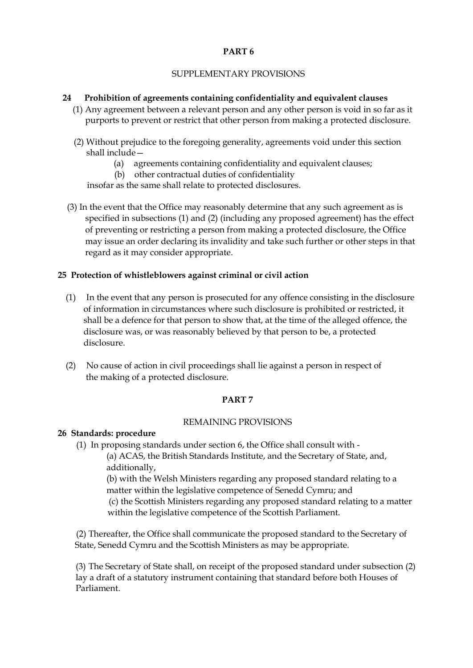#### **PART 6**

## SUPPLEMENTARY PROVISIONS

### **24 Prohibition of agreements containing confidentiality and equivalent clauses**

- (1) Any agreement between a relevant person and any other person is void in so far as it purports to prevent or restrict that other person from making a protected disclosure.
- (2) Without prejudice to the foregoing generality, agreements void under this section shall include—
	- (a) agreements containing confidentiality and equivalent clauses;
	- (b) other contractual duties of confidentiality

insofar as the same shall relate to protected disclosures.

(3) In the event that the Office may reasonably determine that any such agreement as is specified in subsections (1) and (2) (including any proposed agreement) has the effect of preventing or restricting a person from making a protected disclosure, the Office may issue an order declaring its invalidity and take such further or other steps in that regard as it may consider appropriate.

#### **25 Protection of whistleblowers against criminal or civil action**

- (1) In the event that any person is prosecuted for any offence consisting in the disclosure of information in circumstances where such disclosure is prohibited or restricted, it shall be a defence for that person to show that, at the time of the alleged offence, the disclosure was, or was reasonably believed by that person to be, a protected disclosure.
- (2) No cause of action in civil proceedings shall lie against a person in respect of the making of a protected disclosure.

#### **PART 7**

#### REMAINING PROVISIONS

#### **26 Standards: procedure**

(1) In proposing standards under section 6, the Office shall consult with -

(a) ACAS, the British Standards Institute, and the Secretary of State, and, additionally,

(b) with the Welsh Ministers regarding any proposed standard relating to a matter within the legislative competence of Senedd Cymru; and

(c) the Scottish Ministers regarding any proposed standard relating to a matter within the legislative competence of the Scottish Parliament.

(2) Thereafter, the Office shall communicate the proposed standard to the Secretary of State, Senedd Cymru and the Scottish Ministers as may be appropriate.

(3) The Secretary of State shall, on receipt of the proposed standard under subsection (2) lay a draft of a statutory instrument containing that standard before both Houses of Parliament.